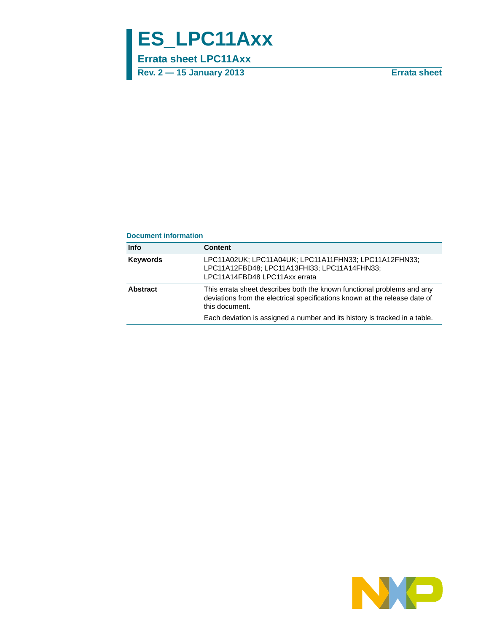# **ES\_LPC11Axx**

**Errata sheet LPC11Axx**

**Rev. 2 — 15 January 2013 Errata sheet**

#### **Document information**

| <b>Info</b>     | <b>Content</b>                                                                                                                                                                                                                                       |
|-----------------|------------------------------------------------------------------------------------------------------------------------------------------------------------------------------------------------------------------------------------------------------|
| <b>Keywords</b> | LPC11A02UK; LPC11A04UK; LPC11A11FHN33; LPC11A12FHN33;<br>LPC11A12FBD48; LPC11A13FHI33; LPC11A14FHN33;<br>LPC11A14FBD48 LPC11Axx errata                                                                                                               |
| Abstract        | This errata sheet describes both the known functional problems and any<br>deviations from the electrical specifications known at the release date of<br>this document.<br>Each deviation is assigned a number and its history is tracked in a table. |

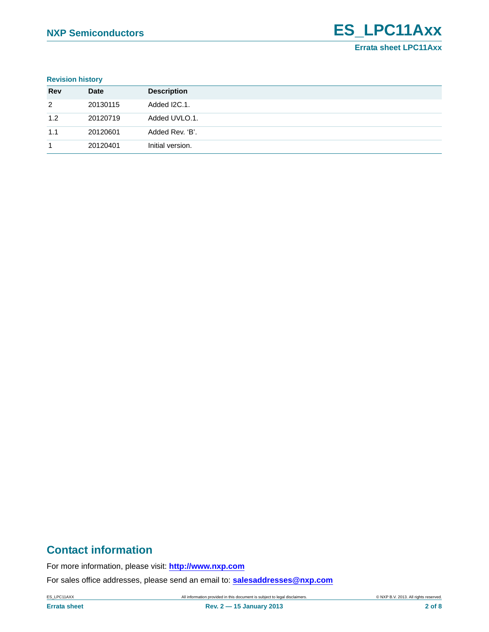#### **Revision history**

| <b>Rev</b> | Date     | <b>Description</b> |
|------------|----------|--------------------|
| 2          | 20130115 | Added I2C.1.       |
| 1.2        | 20120719 | Added UVLO.1.      |
| 1.1        | 20120601 | Added Rev. 'B'.    |
|            | 20120401 | Initial version.   |

# **Contact information**

For more information, please visit: **http://www.nxp.com**

For sales office addresses, please send an email to: **salesaddresses@nxp.com**

ES\_LPC11AXX All information provided in this document is subject to legal disclaimers. © NXP B.V. 2013. All rights reserved.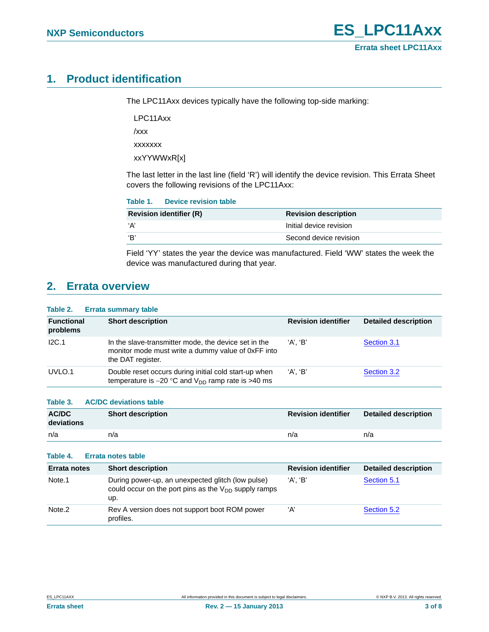# <span id="page-2-0"></span>**1. Product identification**

The LPC11Axx devices typically have the following top-side marking:

LPC11Axx

/xxx

xxxxxxx

xxYYWWxR[x]

The last letter in the last line (field 'R') will identify the device revision. This Errata Sheet covers the following revisions of the LPC11Axx:

| <b>Device revision table</b><br>Table 1. |  |
|------------------------------------------|--|
|------------------------------------------|--|

| <b>Revision identifier (R)</b> | <b>Revision description</b> |
|--------------------------------|-----------------------------|
| ʻA'                            | Initial device revision     |
| ʻR'                            | Second device revision      |

Field 'YY' states the year the device was manufactured. Field 'WW' states the week the device was manufactured during that year.

## <span id="page-2-1"></span>**2. Errata overview**

#### **Table 2. Errata summary table**

| <b>Functional</b><br>problems | <b>Short description</b>                                                                                                        | <b>Revision identifier</b> | <b>Detailed description</b> |
|-------------------------------|---------------------------------------------------------------------------------------------------------------------------------|----------------------------|-----------------------------|
| IC.1                          | In the slave-transmitter mode, the device set in the<br>monitor mode must write a dummy value of 0xFF into<br>the DAT register. | 'A'. 'B'                   | Section 3.1                 |
| UVLO.1                        | Double reset occurs during initial cold start-up when<br>temperature is $-20$ °C and $V_{DD}$ ramp rate is >40 ms               | 'A'. 'B'                   | Section 3.2                 |

#### **Table 3. AC/DC deviations table**

| <b>AC/DC</b><br>deviations | <b>Short description</b> | <b>Revision identifier</b> | <b>Detailed description</b> |
|----------------------------|--------------------------|----------------------------|-----------------------------|
| n/a                        | n/a                      | n/a                        | n/a                         |

#### **Table 4. Errata notes table**

| <b>Errata notes</b> | <b>Short description</b>                                                                                              | <b>Revision identifier</b> | <b>Detailed description</b> |
|---------------------|-----------------------------------------------------------------------------------------------------------------------|----------------------------|-----------------------------|
| Note.1              | During power-up, an unexpected glitch (low pulse)<br>could occur on the port pins as the $V_{DD}$ supply ramps<br>up. | 'A'. 'B'                   | Section 5.1                 |
| Note <sub>.2</sub>  | Rev A version does not support boot ROM power<br>profiles.                                                            | ʻA'                        | Section 5.2                 |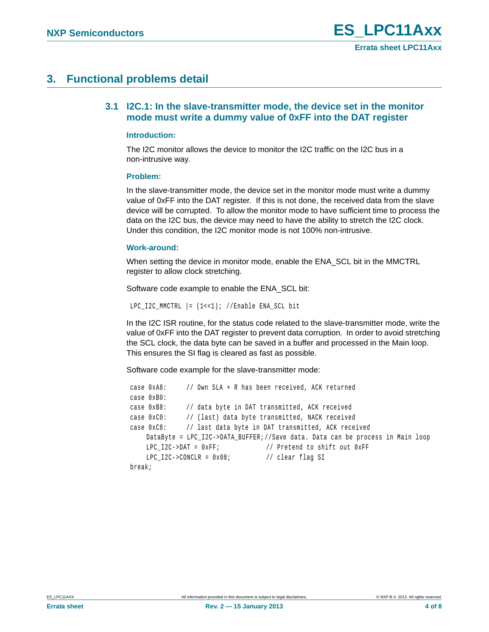# <span id="page-3-1"></span><span id="page-3-0"></span>**3. Functional problems detail**

### **3.1 I2C.1: In the slave-transmitter mode, the device set in the monitor mode must write a dummy value of 0xFF into the DAT register**

#### **Introduction:**

The I2C monitor allows the device to monitor the I2C traffic on the I2C bus in a non-intrusive way.

#### **Problem:**

In the slave-transmitter mode, the device set in the monitor mode must write a dummy value of 0xFF into the DAT register. If this is not done, the received data from the slave device will be corrupted. To allow the monitor mode to have sufficient time to process the data on the I2C bus, the device may need to have the ability to stretch the I2C clock. Under this condition, the I2C monitor mode is not 100% non-intrusive.

#### **Work-around:**

When setting the device in monitor mode, enable the ENA\_SCL bit in the MMCTRL register to allow clock stretching.

Software code example to enable the ENA\_SCL bit:

LPC\_I2C\_MMCTRL |= (1<<1); //Enable ENA\_SCL bit

In the I2C ISR routine, for the status code related to the slave-transmitter mode, write the value of 0xFF into the DAT register to prevent data corruption. In order to avoid stretching the SCL clock, the data byte can be saved in a buffer and processed in the Main loop. This ensures the SI flag is cleared as fast as possible.

Software code example for the slave-transmitter mode:

```
 case 0xA8: // Own SLA + R has been received, ACK returned 
case 0xB0:
case 0xB8: // data byte in DAT transmitted, ACK received
case 0xC0: // (last) data byte transmitted, NACK received
case 0xC8: // last data byte in DAT transmitted, ACK received
   DataByte = LPC_I2C->DATA_BUFFER;//Save data. Data can be process in Main loop
   LPC_I2C->DAT = 0xFF; \frac{12}{5} // Pretend to shift out 0xFF
   LPC I2C->CONCLR = 0x08; // clear flag SI
break;
```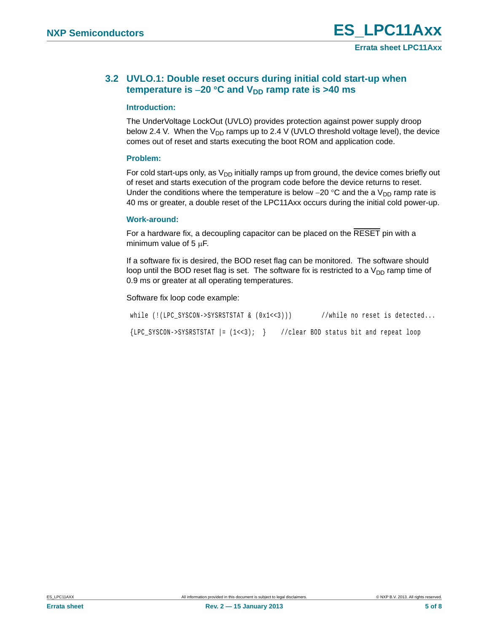### <span id="page-4-0"></span>**3.2 UVLO.1: Double reset occurs during initial cold start-up when temperature is -20 °C and**  $V_{DD}$  **ramp rate is >40 ms**

#### **Introduction:**

The UnderVoltage LockOut (UVLO) provides protection against power supply droop below 2.4 V. When the  $V_{DD}$  ramps up to 2.4 V (UVLO threshold voltage level), the device comes out of reset and starts executing the boot ROM and application code.

#### **Problem:**

For cold start-ups only, as  $V_{DD}$  initially ramps up from ground, the device comes briefly out of reset and starts execution of the program code before the device returns to reset. Under the conditions where the temperature is below  $-20$  °C and the a  $V_{DD}$  ramp rate is 40 ms or greater, a double reset of the LPC11Axx occurs during the initial cold power-up.

#### **Work-around:**

For a hardware fix, a decoupling capacitor can be placed on the RESET pin with a minimum value of 5  $\mu$ F.

If a software fix is desired, the BOD reset flag can be monitored. The software should loop until the BOD reset flag is set. The software fix is restricted to a  $V_{DD}$  ramp time of 0.9 ms or greater at all operating temperatures.

#### Software fix loop code example:

| while $(!(LPC SYSTEM->SYSRSTSTAT & (0x1<<3))))$ |                                        |  |  | //while no reset is detected |
|-------------------------------------------------|----------------------------------------|--|--|------------------------------|
| $\{LPC\_SYSCON->SYSRSTSTAT \mid = (1<<3); \}$   | //clear BOD status bit and repeat loop |  |  |                              |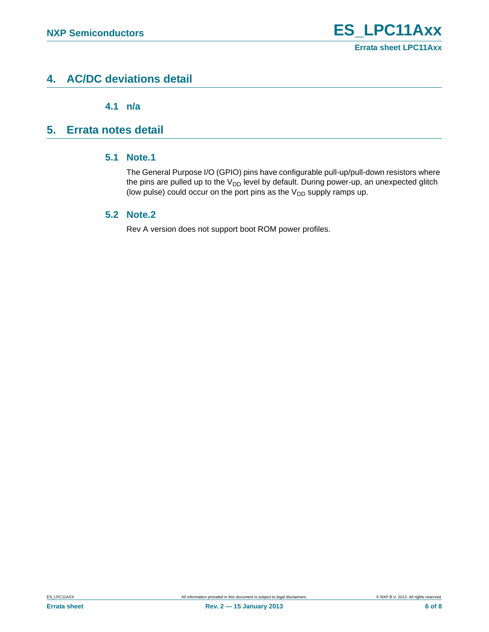# <span id="page-5-2"></span>**4. AC/DC deviations detail**

**4.1 n/a**

## <span id="page-5-4"></span><span id="page-5-3"></span><span id="page-5-0"></span>**5. Errata notes detail**

### **5.1 Note.1**

The General Purpose I/O (GPIO) pins have configurable pull-up/pull-down resistors where the pins are pulled up to the  $V_{DD}$  level by default. During power-up, an unexpected glitch (low pulse) could occur on the port pins as the  $V_{DD}$  supply ramps up.

### <span id="page-5-1"></span>**5.2 Note.2**

Rev A version does not support boot ROM power profiles.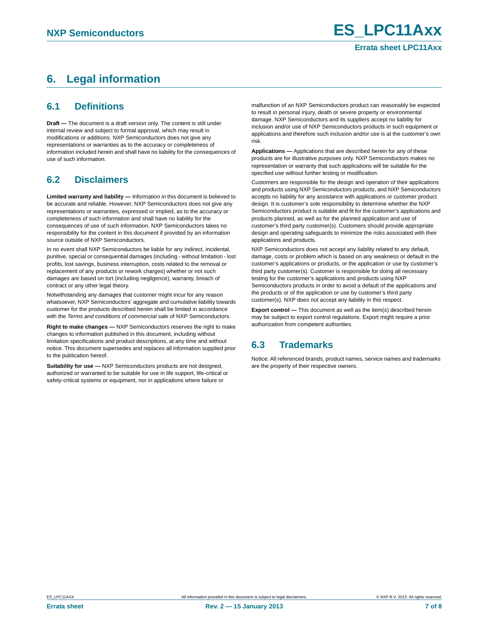# <span id="page-6-0"></span>**6. Legal information**

### <span id="page-6-1"></span>**6.1 Definitions**

**Draft —** The document is a draft version only. The content is still under internal review and subject to formal approval, which may result in modifications or additions. NXP Semiconductors does not give any representations or warranties as to the accuracy or completeness of information included herein and shall have no liability for the consequences of use of such information.

### <span id="page-6-2"></span>**6.2 Disclaimers**

**Limited warranty and liability —** Information in this document is believed to be accurate and reliable. However, NXP Semiconductors does not give any representations or warranties, expressed or implied, as to the accuracy or completeness of such information and shall have no liability for the consequences of use of such information. NXP Semiconductors takes no responsibility for the content in this document if provided by an information source outside of NXP Semiconductors.

In no event shall NXP Semiconductors be liable for any indirect, incidental, punitive, special or consequential damages (including - without limitation - lost profits, lost savings, business interruption, costs related to the removal or replacement of any products or rework charges) whether or not such damages are based on tort (including negligence), warranty, breach of contract or any other legal theory.

Notwithstanding any damages that customer might incur for any reason whatsoever, NXP Semiconductors' aggregate and cumulative liability towards customer for the products described herein shall be limited in accordance with the *Terms and conditions of commercial sale* of NXP Semiconductors.

**Right to make changes —** NXP Semiconductors reserves the right to make changes to information published in this document, including without limitation specifications and product descriptions, at any time and without notice. This document supersedes and replaces all information supplied prior to the publication hereof.

**Suitability for use —** NXP Semiconductors products are not designed, authorized or warranted to be suitable for use in life support, life-critical or safety-critical systems or equipment, nor in applications where failure or

malfunction of an NXP Semiconductors product can reasonably be expected to result in personal injury, death or severe property or environmental damage. NXP Semiconductors and its suppliers accept no liability for inclusion and/or use of NXP Semiconductors products in such equipment or applications and therefore such inclusion and/or use is at the customer's own risk.

**Applications —** Applications that are described herein for any of these products are for illustrative purposes only. NXP Semiconductors makes no representation or warranty that such applications will be suitable for the specified use without further testing or modification.

Customers are responsible for the design and operation of their applications and products using NXP Semiconductors products, and NXP Semiconductors accepts no liability for any assistance with applications or customer product design. It is customer's sole responsibility to determine whether the NXP Semiconductors product is suitable and fit for the customer's applications and products planned, as well as for the planned application and use of customer's third party customer(s). Customers should provide appropriate design and operating safeguards to minimize the risks associated with their applications and products.

NXP Semiconductors does not accept any liability related to any default, damage, costs or problem which is based on any weakness or default in the customer's applications or products, or the application or use by customer's third party customer(s). Customer is responsible for doing all necessary testing for the customer's applications and products using NXP Semiconductors products in order to avoid a default of the applications and the products or of the application or use by customer's third party customer(s). NXP does not accept any liability in this respect.

**Export control —** This document as well as the item(s) described herein may be subject to export control regulations. Export might require a prior authorization from competent authorities.

### <span id="page-6-3"></span>**6.3 Trademarks**

Notice: All referenced brands, product names, service names and trademarks are the property of their respective owners.